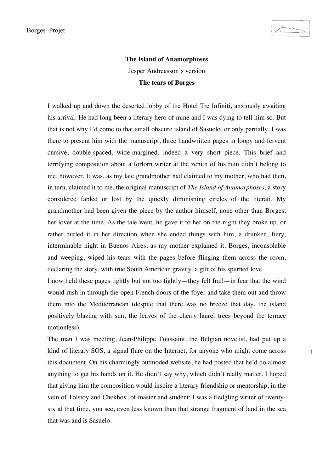1

## **The Island of Anamorphoses**  Jesper Andreasson's version **The tears of Borges**

I walked up and down the deserted lobby of the Hotel Tre Infiniti, anxiously awaiting his arrival. He had long been a literary hero of mine and I was dying to tell him so. But that is not why I'd come to that small obscure island of Sasuelo, or only partially. I was there to present him with the manuscript, three handwritten pages in loopy and fervent cursive, double-spaced, wide-margined, indeed a very short piece. This brief and terrifying composition about a forlorn writer at the zenith of his ruin didn't belong to me, however. It was, as my late grandmother had claimed to my mother, who had then, in turn, claimed it to me, the original manuscript of *The Island of Anamorphoses,* a story considered fabled or lost by the quickly diminishing circles of the literati. My grandmother had been given the piece by the author himself, none other than Borges, her lover at the time. As the tale went, he gave it to her on the night they broke up, or rather hurled it in her direction when she ended things with him, a drunken, fiery, interminable night in Buenos Aires, as my mother explained it. Borges, inconsolable and weeping, wiped his tears with the pages before flinging them across the room, declaring the story, with true South American gravity, a gift of his spurned love.

I now held these pages tightly but not too tightly—they felt frail—in fear that the wind would rush in through the open French doors of the foyer and take them out and throw them into the Mediterranean (despite that there was no breeze that day, the island positively blazing with sun, the leaves of the cherry laurel trees beyond the terrace motionless).

The man I was meeting, Jean-Philippe Toussaint, the Belgian novelist, had put up a kind of literary SOS, a signal flare on the Internet, for anyone who might come across this document. On his charmingly outmoded website, he had posted that he'd do almost anything to get his hands on it. He didn't say why, which didn't really matter. I hoped that giving him the composition would inspire a literary friendship or mentorship, in the vein of Tolstoy and Chekhov, of master and student; I was a fledgling writer of twentysix at that time, you see, even less known than that strange fragment of land in the sea that was and is Sasuelo.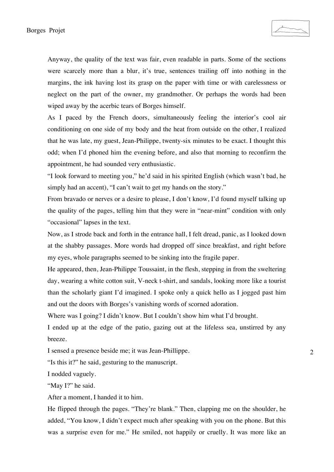Anyway, the quality of the text was fair, even readable in parts. Some of the sections were scarcely more than a blur, it's true, sentences trailing off into nothing in the margins, the ink having lost its grasp on the paper with time or with carelessness or neglect on the part of the owner, my grandmother. Or perhaps the words had been wiped away by the acerbic tears of Borges himself.

As I paced by the French doors, simultaneously feeling the interior's cool air conditioning on one side of my body and the heat from outside on the other, I realized that he was late, my guest, Jean-Philippe, twenty-six minutes to be exact. I thought this odd; when I'd phoned him the evening before, and also that morning to reconfirm the appointment, he had sounded very enthusiastic.

"I look forward to meeting you," he'd said in his spirited English (which wasn't bad, he simply had an accent), "I can't wait to get my hands on the story."

From bravado or nerves or a desire to please, I don't know, I'd found myself talking up the quality of the pages, telling him that they were in "near-mint" condition with only "occasional" lapses in the text.

Now, as I strode back and forth in the entrance hall, I felt dread, panic, as I looked down at the shabby passages. More words had dropped off since breakfast, and right before my eyes, whole paragraphs seemed to be sinking into the fragile paper.

He appeared, then, Jean-Philippe Toussaint, in the flesh, stepping in from the sweltering day, wearing a white cotton suit, V-neck t-shirt, and sandals, looking more like a tourist than the scholarly giant I'd imagined. I spoke only a quick hello as I jogged past him and out the doors with Borges's vanishing words of scorned adoration.

Where was I going? I didn't know. But I couldn't show him what I'd brought.

I ended up at the edge of the patio, gazing out at the lifeless sea, unstirred by any breeze.

I sensed a presence beside me; it was Jean-Phillippe.

"Is this it?" he said, gesturing to the manuscript.

I nodded vaguely.

"May I?" he said.

After a moment, I handed it to him.

He flipped through the pages. "They're blank." Then, clapping me on the shoulder, he added, "You know, I didn't expect much after speaking with you on the phone. But this was a surprise even for me." He smiled, not happily or cruelly. It was more like an